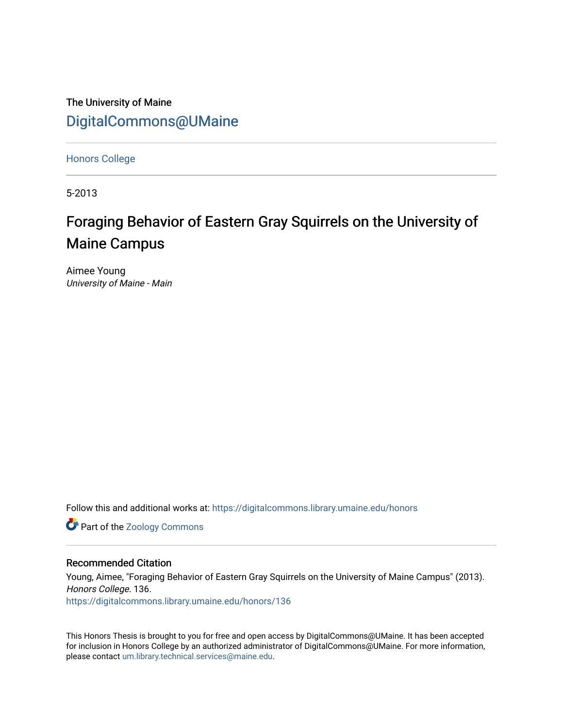The University of Maine [DigitalCommons@UMaine](https://digitalcommons.library.umaine.edu/)

[Honors College](https://digitalcommons.library.umaine.edu/honors)

5-2013

# Foraging Behavior of Eastern Gray Squirrels on the University of Maine Campus

Aimee Young University of Maine - Main

Follow this and additional works at: [https://digitalcommons.library.umaine.edu/honors](https://digitalcommons.library.umaine.edu/honors?utm_source=digitalcommons.library.umaine.edu%2Fhonors%2F136&utm_medium=PDF&utm_campaign=PDFCoverPages) 

**Part of the Zoology Commons** 

### Recommended Citation

Young, Aimee, "Foraging Behavior of Eastern Gray Squirrels on the University of Maine Campus" (2013). Honors College. 136.

[https://digitalcommons.library.umaine.edu/honors/136](https://digitalcommons.library.umaine.edu/honors/136?utm_source=digitalcommons.library.umaine.edu%2Fhonors%2F136&utm_medium=PDF&utm_campaign=PDFCoverPages) 

This Honors Thesis is brought to you for free and open access by DigitalCommons@UMaine. It has been accepted for inclusion in Honors College by an authorized administrator of DigitalCommons@UMaine. For more information, please contact [um.library.technical.services@maine.edu.](mailto:um.library.technical.services@maine.edu)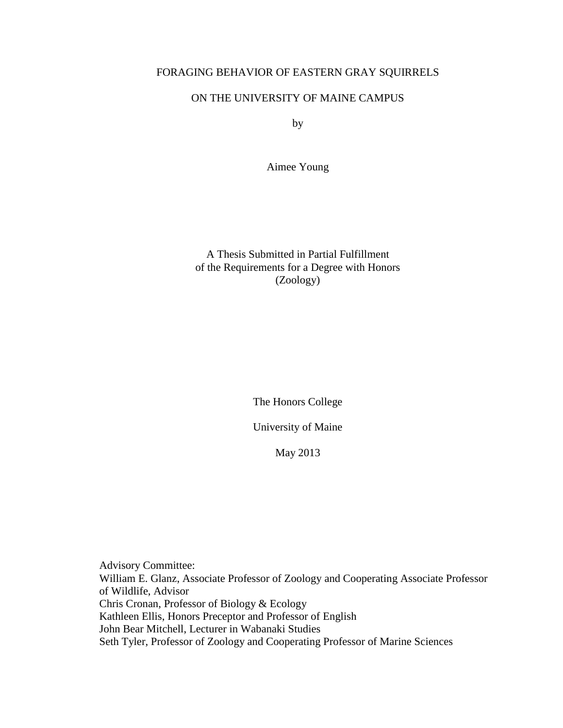## FORAGING BEHAVIOR OF EASTERN GRAY SQUIRRELS

## ON THE UNIVERSITY OF MAINE CAMPUS

by

Aimee Young

A Thesis Submitted in Partial Fulfillment of the Requirements for a Degree with Honors (Zoology)

The Honors College

University of Maine

May 2013

Advisory Committee: William E. Glanz, Associate Professor of Zoology and Cooperating Associate Professor of Wildlife, Advisor Chris Cronan, Professor of Biology & Ecology Kathleen Ellis, Honors Preceptor and Professor of English John Bear Mitchell, Lecturer in Wabanaki Studies Seth Tyler, Professor of Zoology and Cooperating Professor of Marine Sciences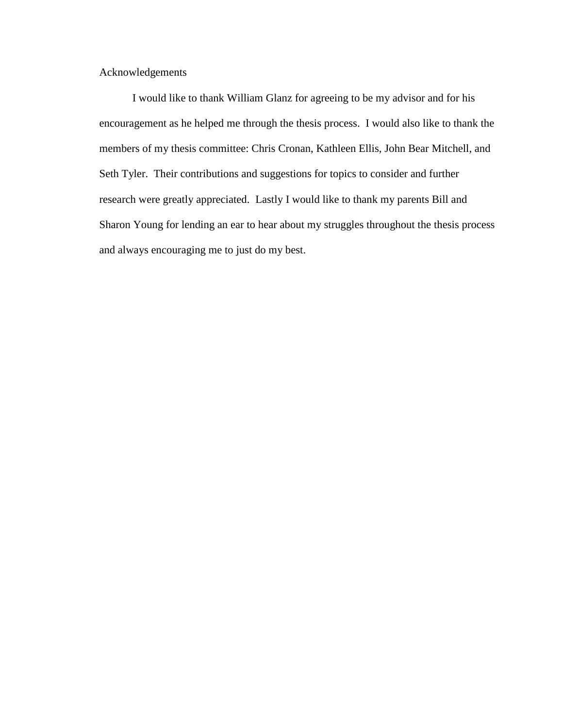Acknowledgements

I would like to thank William Glanz for agreeing to be my advisor and for his encouragement as he helped me through the thesis process. I would also like to thank the members of my thesis committee: Chris Cronan, Kathleen Ellis, John Bear Mitchell, and Seth Tyler. Their contributions and suggestions for topics to consider and further research were greatly appreciated. Lastly I would like to thank my parents Bill and Sharon Young for lending an ear to hear about my struggles throughout the thesis process and always encouraging me to just do my best.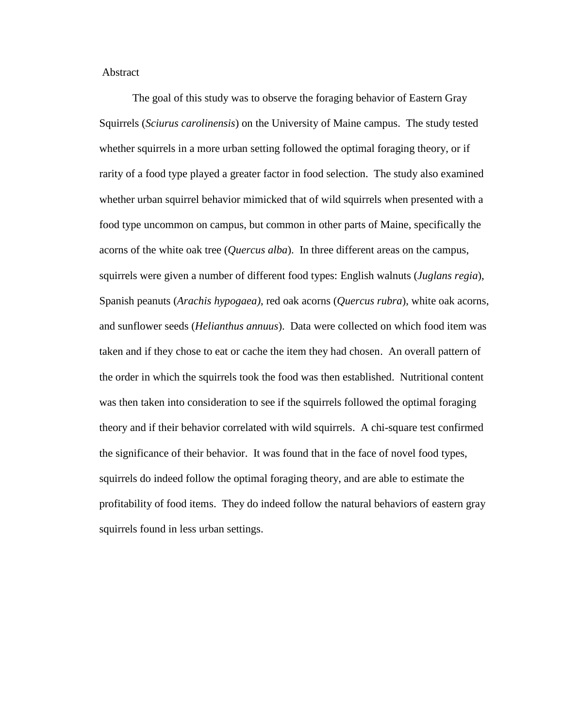Abstract

The goal of this study was to observe the foraging behavior of Eastern Gray Squirrels (*Sciurus carolinensis*) on the University of Maine campus. The study tested whether squirrels in a more urban setting followed the optimal foraging theory, or if rarity of a food type played a greater factor in food selection. The study also examined whether urban squirrel behavior mimicked that of wild squirrels when presented with a food type uncommon on campus, but common in other parts of Maine, specifically the acorns of the white oak tree (*Quercus alba*). In three different areas on the campus, squirrels were given a number of different food types: English walnuts (*Juglans regia*), Spanish peanuts (*Arachis hypogaea)*, red oak acorns (*Quercus rubra*), white oak acorns, and sunflower seeds (*Helianthus annuus*). Data were collected on which food item was taken and if they chose to eat or cache the item they had chosen. An overall pattern of the order in which the squirrels took the food was then established. Nutritional content was then taken into consideration to see if the squirrels followed the optimal foraging theory and if their behavior correlated with wild squirrels. A chi-square test confirmed the significance of their behavior. It was found that in the face of novel food types, squirrels do indeed follow the optimal foraging theory, and are able to estimate the profitability of food items. They do indeed follow the natural behaviors of eastern gray squirrels found in less urban settings.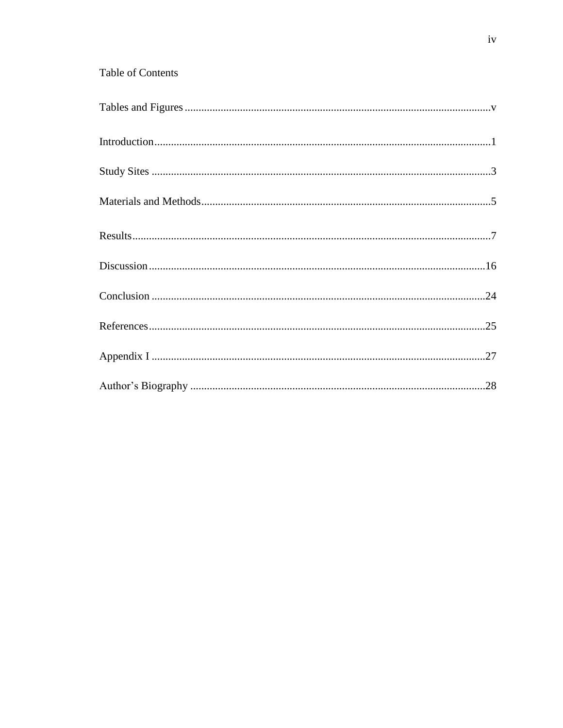## Table of Contents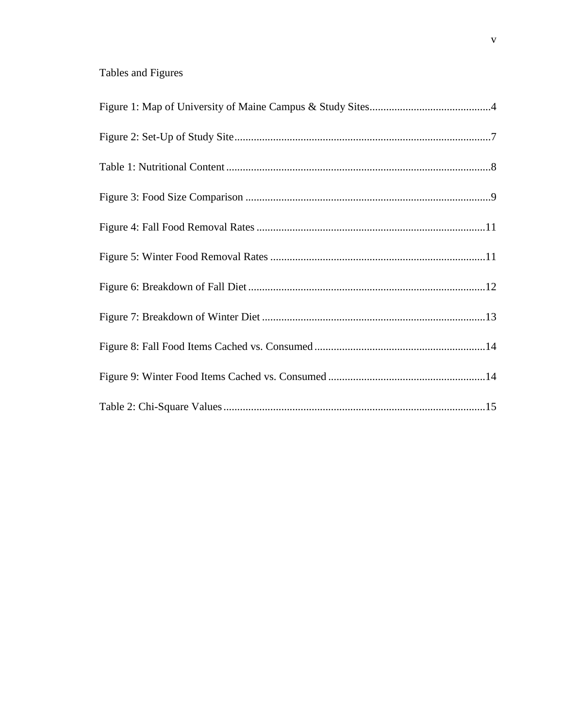## Tables and Figures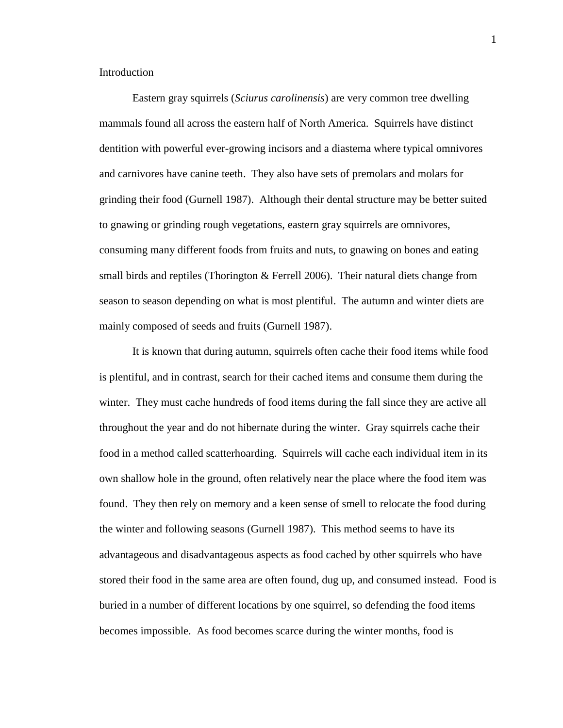Introduction

Eastern gray squirrels (*Sciurus carolinensis*) are very common tree dwelling mammals found all across the eastern half of North America. Squirrels have distinct dentition with powerful ever-growing incisors and a diastema where typical omnivores and carnivores have canine teeth. They also have sets of premolars and molars for grinding their food (Gurnell 1987). Although their dental structure may be better suited to gnawing or grinding rough vegetations, eastern gray squirrels are omnivores, consuming many different foods from fruits and nuts, to gnawing on bones and eating small birds and reptiles (Thorington & Ferrell 2006). Their natural diets change from season to season depending on what is most plentiful. The autumn and winter diets are mainly composed of seeds and fruits (Gurnell 1987).

It is known that during autumn, squirrels often cache their food items while food is plentiful, and in contrast, search for their cached items and consume them during the winter. They must cache hundreds of food items during the fall since they are active all throughout the year and do not hibernate during the winter. Gray squirrels cache their food in a method called scatterhoarding. Squirrels will cache each individual item in its own shallow hole in the ground, often relatively near the place where the food item was found. They then rely on memory and a keen sense of smell to relocate the food during the winter and following seasons (Gurnell 1987). This method seems to have its advantageous and disadvantageous aspects as food cached by other squirrels who have stored their food in the same area are often found, dug up, and consumed instead. Food is buried in a number of different locations by one squirrel, so defending the food items becomes impossible. As food becomes scarce during the winter months, food is

1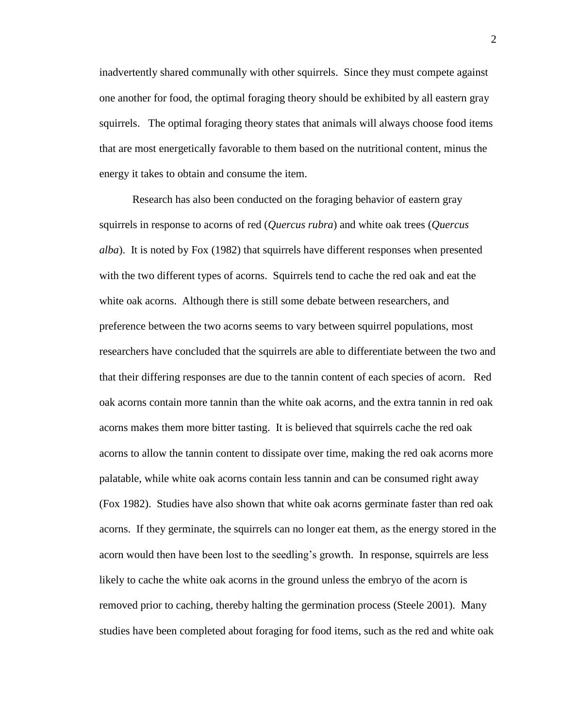inadvertently shared communally with other squirrels. Since they must compete against one another for food, the optimal foraging theory should be exhibited by all eastern gray squirrels. The optimal foraging theory states that animals will always choose food items that are most energetically favorable to them based on the nutritional content, minus the energy it takes to obtain and consume the item.

Research has also been conducted on the foraging behavior of eastern gray squirrels in response to acorns of red (*Quercus rubra*) and white oak trees (*Quercus alba*). It is noted by Fox (1982) that squirrels have different responses when presented with the two different types of acorns. Squirrels tend to cache the red oak and eat the white oak acorns. Although there is still some debate between researchers, and preference between the two acorns seems to vary between squirrel populations, most researchers have concluded that the squirrels are able to differentiate between the two and that their differing responses are due to the tannin content of each species of acorn. Red oak acorns contain more tannin than the white oak acorns, and the extra tannin in red oak acorns makes them more bitter tasting. It is believed that squirrels cache the red oak acorns to allow the tannin content to dissipate over time, making the red oak acorns more palatable, while white oak acorns contain less tannin and can be consumed right away (Fox 1982). Studies have also shown that white oak acorns germinate faster than red oak acorns. If they germinate, the squirrels can no longer eat them, as the energy stored in the acorn would then have been lost to the seedling's growth. In response, squirrels are less likely to cache the white oak acorns in the ground unless the embryo of the acorn is removed prior to caching, thereby halting the germination process (Steele 2001). Many studies have been completed about foraging for food items, such as the red and white oak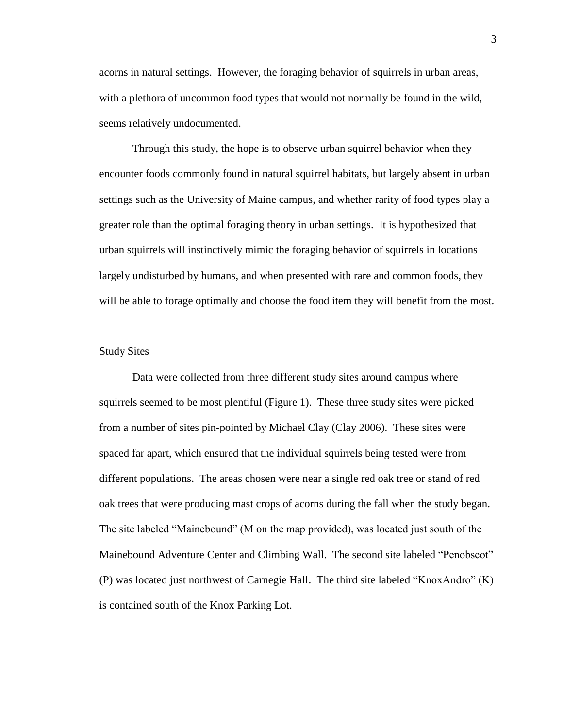acorns in natural settings. However, the foraging behavior of squirrels in urban areas, with a plethora of uncommon food types that would not normally be found in the wild, seems relatively undocumented.

Through this study, the hope is to observe urban squirrel behavior when they encounter foods commonly found in natural squirrel habitats, but largely absent in urban settings such as the University of Maine campus, and whether rarity of food types play a greater role than the optimal foraging theory in urban settings. It is hypothesized that urban squirrels will instinctively mimic the foraging behavior of squirrels in locations largely undisturbed by humans, and when presented with rare and common foods, they will be able to forage optimally and choose the food item they will benefit from the most.

## Study Sites

Data were collected from three different study sites around campus where squirrels seemed to be most plentiful (Figure 1). These three study sites were picked from a number of sites pin-pointed by Michael Clay (Clay 2006). These sites were spaced far apart, which ensured that the individual squirrels being tested were from different populations. The areas chosen were near a single red oak tree or stand of red oak trees that were producing mast crops of acorns during the fall when the study began. The site labeled "Mainebound" (M on the map provided), was located just south of the Mainebound Adventure Center and Climbing Wall. The second site labeled "Penobscot" (P) was located just northwest of Carnegie Hall. The third site labeled "KnoxAndro" (K) is contained south of the Knox Parking Lot.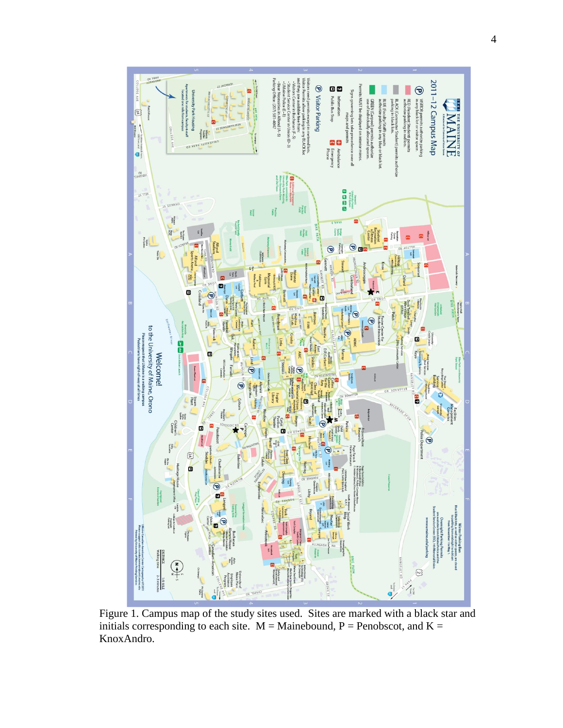

Figure 1. Campus map of the study sites used. Sites are marked with a black star and initials corresponding to each site.  $M =$ Mainebound, P = Penobscot, and K = KnoxAndro.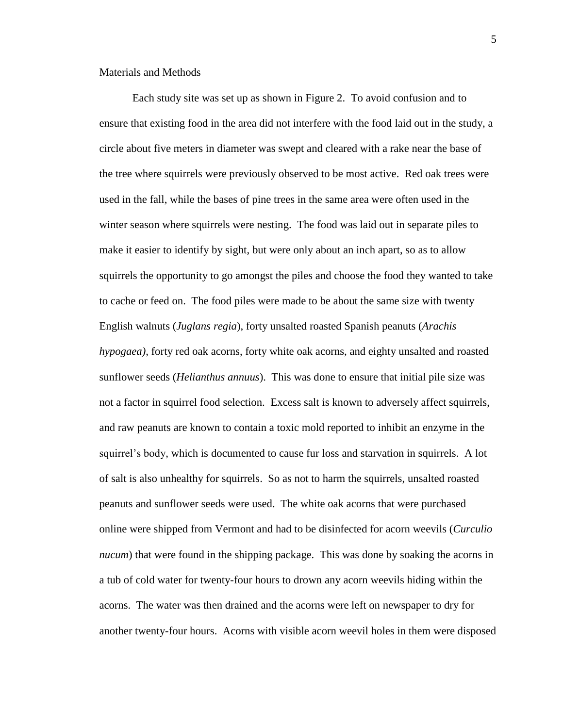Materials and Methods

Each study site was set up as shown in Figure 2. To avoid confusion and to ensure that existing food in the area did not interfere with the food laid out in the study, a circle about five meters in diameter was swept and cleared with a rake near the base of the tree where squirrels were previously observed to be most active. Red oak trees were used in the fall, while the bases of pine trees in the same area were often used in the winter season where squirrels were nesting. The food was laid out in separate piles to make it easier to identify by sight, but were only about an inch apart, so as to allow squirrels the opportunity to go amongst the piles and choose the food they wanted to take to cache or feed on. The food piles were made to be about the same size with twenty English walnuts (*Juglans regia*), forty unsalted roasted Spanish peanuts (*Arachis hypogaea)*, forty red oak acorns, forty white oak acorns, and eighty unsalted and roasted sunflower seeds (*Helianthus annuus*). This was done to ensure that initial pile size was not a factor in squirrel food selection. Excess salt is known to adversely affect squirrels, and raw peanuts are known to contain a toxic mold reported to inhibit an enzyme in the squirrel's body, which is documented to cause fur loss and starvation in squirrels. A lot of salt is also unhealthy for squirrels. So as not to harm the squirrels, unsalted roasted peanuts and sunflower seeds were used. The white oak acorns that were purchased online were shipped from Vermont and had to be disinfected for acorn weevils (*Curculio nucum*) that were found in the shipping package. This was done by soaking the acorns in a tub of cold water for twenty-four hours to drown any acorn weevils hiding within the acorns. The water was then drained and the acorns were left on newspaper to dry for another twenty-four hours. Acorns with visible acorn weevil holes in them were disposed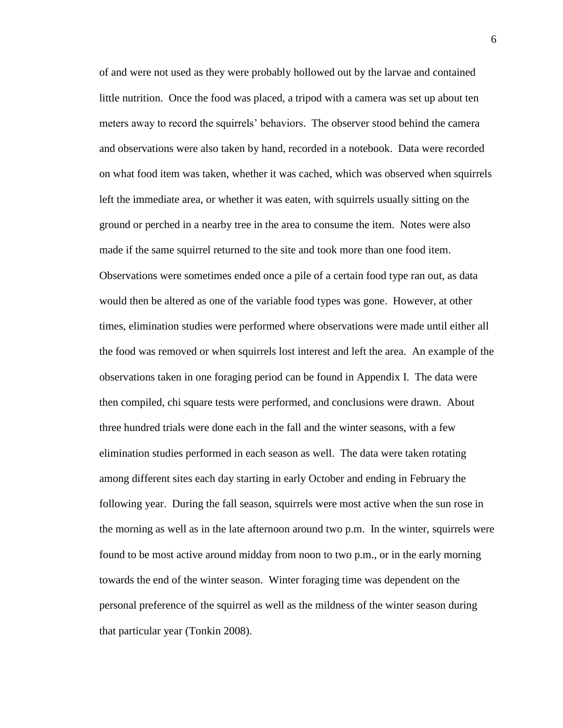of and were not used as they were probably hollowed out by the larvae and contained little nutrition. Once the food was placed, a tripod with a camera was set up about ten meters away to record the squirrels' behaviors. The observer stood behind the camera and observations were also taken by hand, recorded in a notebook. Data were recorded on what food item was taken, whether it was cached, which was observed when squirrels left the immediate area, or whether it was eaten, with squirrels usually sitting on the ground or perched in a nearby tree in the area to consume the item. Notes were also made if the same squirrel returned to the site and took more than one food item. Observations were sometimes ended once a pile of a certain food type ran out, as data would then be altered as one of the variable food types was gone. However, at other times, elimination studies were performed where observations were made until either all the food was removed or when squirrels lost interest and left the area. An example of the observations taken in one foraging period can be found in Appendix I. The data were then compiled, chi square tests were performed, and conclusions were drawn. About three hundred trials were done each in the fall and the winter seasons, with a few elimination studies performed in each season as well. The data were taken rotating among different sites each day starting in early October and ending in February the following year. During the fall season, squirrels were most active when the sun rose in the morning as well as in the late afternoon around two p.m. In the winter, squirrels were found to be most active around midday from noon to two p.m., or in the early morning towards the end of the winter season. Winter foraging time was dependent on the personal preference of the squirrel as well as the mildness of the winter season during that particular year (Tonkin 2008).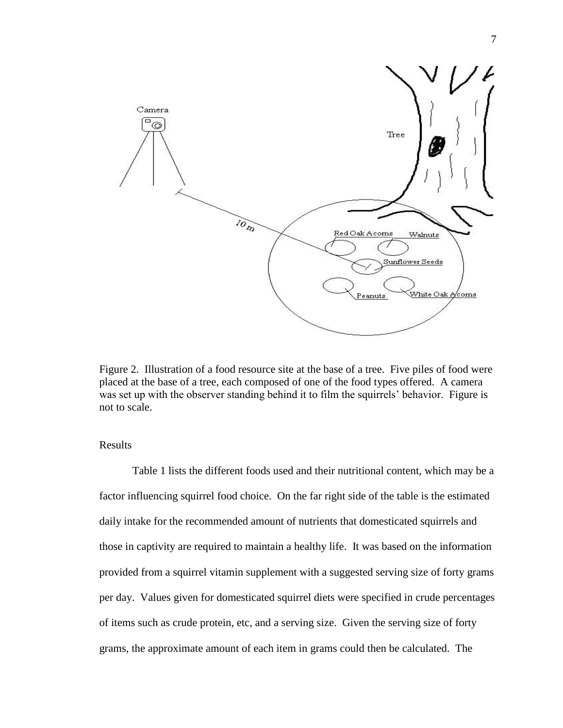

Figure 2. Illustration of a food resource site at the base of a tree. Five piles of food were placed at the base of a tree, each composed of one of the food types offered. A camera was set up with the observer standing behind it to film the squirrels' behavior. Figure is not to scale.

Results

Table 1 lists the different foods used and their nutritional content, which may be a factor influencing squirrel food choice. On the far right side of the table is the estimated daily intake for the recommended amount of nutrients that domesticated squirrels and those in captivity are required to maintain a healthy life. It was based on the information provided from a squirrel vitamin supplement with a suggested serving size of forty grams per day. Values given for domesticated squirrel diets were specified in crude percentages of items such as crude protein, etc, and a serving size. Given the serving size of forty grams, the approximate amount of each item in grams could then be calculated. The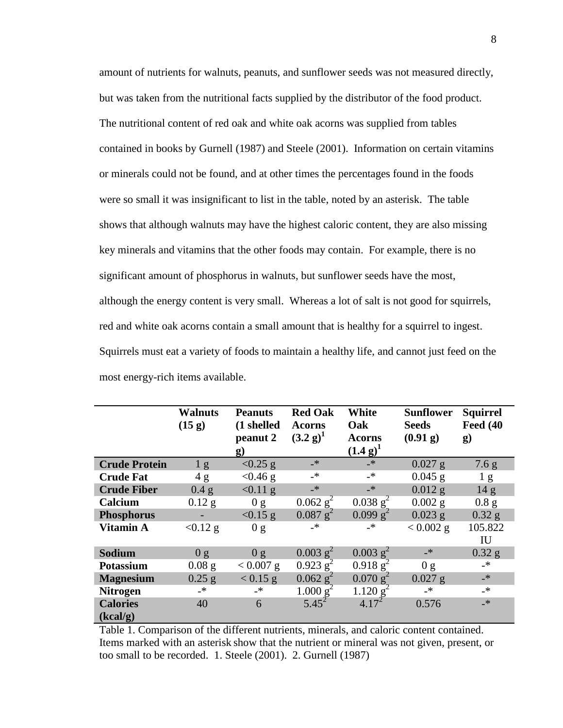amount of nutrients for walnuts, peanuts, and sunflower seeds was not measured directly, but was taken from the nutritional facts supplied by the distributor of the food product. The nutritional content of red oak and white oak acorns was supplied from tables contained in books by Gurnell (1987) and Steele (2001). Information on certain vitamins or minerals could not be found, and at other times the percentages found in the foods were so small it was insignificant to list in the table, noted by an asterisk. The table shows that although walnuts may have the highest caloric content, they are also missing key minerals and vitamins that the other foods may contain. For example, there is no significant amount of phosphorus in walnuts, but sunflower seeds have the most, although the energy content is very small. Whereas a lot of salt is not good for squirrels, red and white oak acorns contain a small amount that is healthy for a squirrel to ingest. Squirrels must eat a variety of foods to maintain a healthy life, and cannot just feed on the most energy-rich items available.

|                             | <b>Walnuts</b><br>(15 g) | <b>Peanuts</b><br>(1 shelled<br>peanut 2<br>$\bf{g}$ | <b>Red Oak</b><br><b>Acorns</b><br>$(3.2 g)^1$ | White<br>Oak<br><b>Acorns</b><br>$(1.4 g)^1$ | <b>Sunflower</b><br><b>Seeds</b><br>(0.91 g) | <b>Squirrel</b><br><b>Feed (40)</b><br>$\bf g)$ |
|-----------------------------|--------------------------|------------------------------------------------------|------------------------------------------------|----------------------------------------------|----------------------------------------------|-------------------------------------------------|
| <b>Crude Protein</b>        | 1 g                      | $< 0.25$ g                                           | $\rightarrow$                                  | $-\ast$                                      | $0.027$ g                                    | 7.6 g                                           |
| <b>Crude Fat</b>            | 4g                       | $< 0.46$ g                                           | _*                                             | _*                                           | $0.045$ g                                    | 1 <sub>g</sub>                                  |
| <b>Crude Fiber</b>          | 0.4 g                    | $< 0.11$ g                                           | $-$ *                                          | $\rightarrow$                                | $0.012$ g                                    | 14 <sub>g</sub>                                 |
| Calcium                     | $0.12$ g                 | 0 g                                                  | $0.062$ $g^2$                                  | $0.038$ g <sup>2</sup>                       | $0.002$ g                                    | 0.8 g                                           |
| <b>Phosphorus</b>           |                          | $< 0.15$ g                                           | $0.087$ g <sup>2</sup>                         | 0.099 g <sup>2</sup>                         | $0.023$ g                                    | $0.32$ g                                        |
| <b>Vitamin A</b>            | $< 0.12$ g               | 0 g                                                  | $\rightarrow$                                  | $\rightarrow$                                | $< 0.002$ g                                  | 105.822<br>IU                                   |
| <b>Sodium</b>               | 0 g                      | 0 g                                                  | $0.003$ g <sup>2</sup>                         | $0.003$ g <sup>2</sup>                       | $-$ *                                        | $0.32$ g                                        |
| <b>Potassium</b>            | $0.08$ g                 | $< 0.007$ g                                          | $0.923$ g <sup>2</sup>                         | $0.918\$ g <sup>2</sup>                      | 0 g                                          | $\rightarrow$                                   |
| <b>Magnesium</b>            | $0.25$ g                 | $< 0.15$ g                                           | $0.062$ g <sup>2</sup>                         | $0.070$ g <sup>2</sup>                       | $0.027$ g                                    | $\mathbf{F}_{-}$                                |
| <b>Nitrogen</b>             | _*                       | $\rightarrow$                                        | 1.000 g <sup>2</sup>                           | 1.120 g <sup>2</sup>                         | _*                                           | $\overline{\phantom{a}}$                        |
| <b>Calories</b><br>(kcal/g) | 40                       | 6                                                    | $5.45^{2}$                                     | $4.17^{2}$                                   | 0.576                                        | $\cdot$                                         |

Table 1. Comparison of the different nutrients, minerals, and caloric content contained. Items marked with an asterisk show that the nutrient or mineral was not given, present, or too small to be recorded. 1. Steele (2001). 2. Gurnell (1987)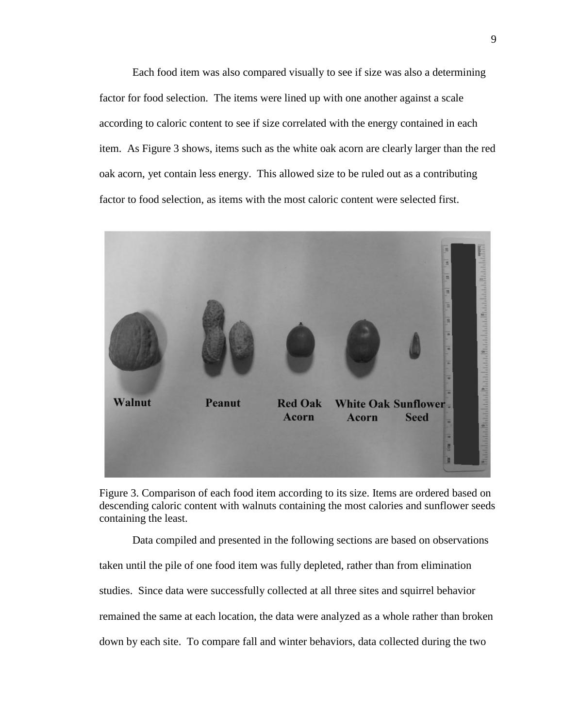Each food item was also compared visually to see if size was also a determining factor for food selection. The items were lined up with one another against a scale according to caloric content to see if size correlated with the energy contained in each item. As Figure 3 shows, items such as the white oak acorn are clearly larger than the red oak acorn, yet contain less energy. This allowed size to be ruled out as a contributing factor to food selection, as items with the most caloric content were selected first.



Figure 3. Comparison of each food item according to its size. Items are ordered based on descending caloric content with walnuts containing the most calories and sunflower seeds containing the least.

Data compiled and presented in the following sections are based on observations taken until the pile of one food item was fully depleted, rather than from elimination studies. Since data were successfully collected at all three sites and squirrel behavior remained the same at each location, the data were analyzed as a whole rather than broken down by each site. To compare fall and winter behaviors, data collected during the two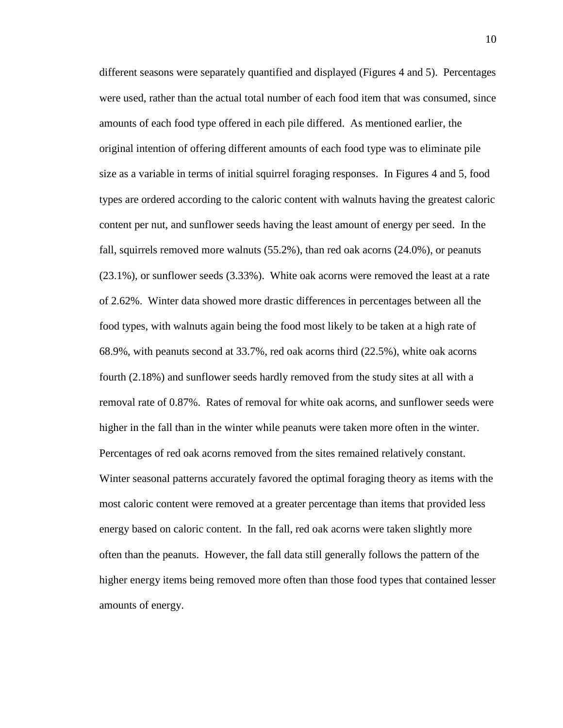different seasons were separately quantified and displayed (Figures 4 and 5). Percentages were used, rather than the actual total number of each food item that was consumed, since amounts of each food type offered in each pile differed. As mentioned earlier, the original intention of offering different amounts of each food type was to eliminate pile size as a variable in terms of initial squirrel foraging responses. In Figures 4 and 5, food types are ordered according to the caloric content with walnuts having the greatest caloric content per nut, and sunflower seeds having the least amount of energy per seed. In the fall, squirrels removed more walnuts (55.2%), than red oak acorns (24.0%), or peanuts (23.1%), or sunflower seeds (3.33%). White oak acorns were removed the least at a rate of 2.62%. Winter data showed more drastic differences in percentages between all the food types, with walnuts again being the food most likely to be taken at a high rate of 68.9%, with peanuts second at 33.7%, red oak acorns third (22.5%), white oak acorns fourth (2.18%) and sunflower seeds hardly removed from the study sites at all with a removal rate of 0.87%. Rates of removal for white oak acorns, and sunflower seeds were higher in the fall than in the winter while peanuts were taken more often in the winter. Percentages of red oak acorns removed from the sites remained relatively constant. Winter seasonal patterns accurately favored the optimal foraging theory as items with the most caloric content were removed at a greater percentage than items that provided less energy based on caloric content. In the fall, red oak acorns were taken slightly more often than the peanuts. However, the fall data still generally follows the pattern of the higher energy items being removed more often than those food types that contained lesser amounts of energy.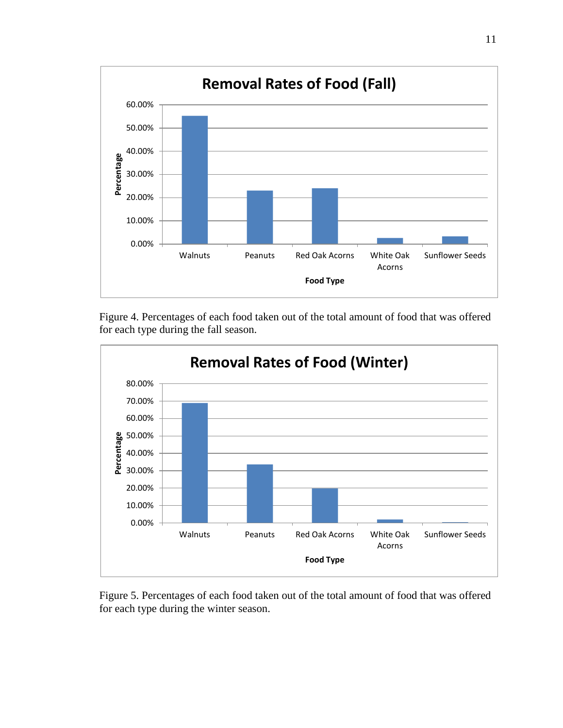

Figure 4. Percentages of each food taken out of the total amount of food that was offered for each type during the fall season.



Figure 5. Percentages of each food taken out of the total amount of food that was offered for each type during the winter season.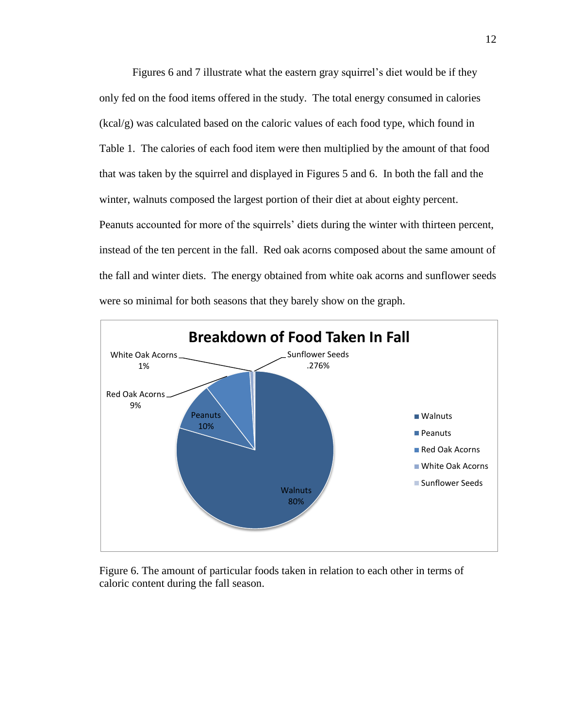Figures 6 and 7 illustrate what the eastern gray squirrel's diet would be if they only fed on the food items offered in the study. The total energy consumed in calories (kcal/g) was calculated based on the caloric values of each food type, which found in Table 1. The calories of each food item were then multiplied by the amount of that food that was taken by the squirrel and displayed in Figures 5 and 6. In both the fall and the winter, walnuts composed the largest portion of their diet at about eighty percent. Peanuts accounted for more of the squirrels' diets during the winter with thirteen percent, instead of the ten percent in the fall. Red oak acorns composed about the same amount of the fall and winter diets. The energy obtained from white oak acorns and sunflower seeds were so minimal for both seasons that they barely show on the graph.



Figure 6. The amount of particular foods taken in relation to each other in terms of caloric content during the fall season.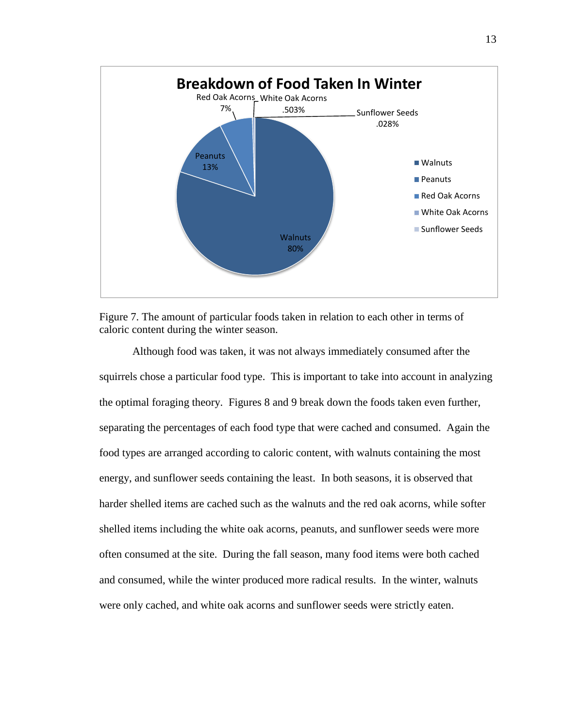



Although food was taken, it was not always immediately consumed after the squirrels chose a particular food type. This is important to take into account in analyzing the optimal foraging theory. Figures 8 and 9 break down the foods taken even further, separating the percentages of each food type that were cached and consumed. Again the food types are arranged according to caloric content, with walnuts containing the most energy, and sunflower seeds containing the least. In both seasons, it is observed that harder shelled items are cached such as the walnuts and the red oak acorns, while softer shelled items including the white oak acorns, peanuts, and sunflower seeds were more often consumed at the site. During the fall season, many food items were both cached and consumed, while the winter produced more radical results. In the winter, walnuts were only cached, and white oak acorns and sunflower seeds were strictly eaten.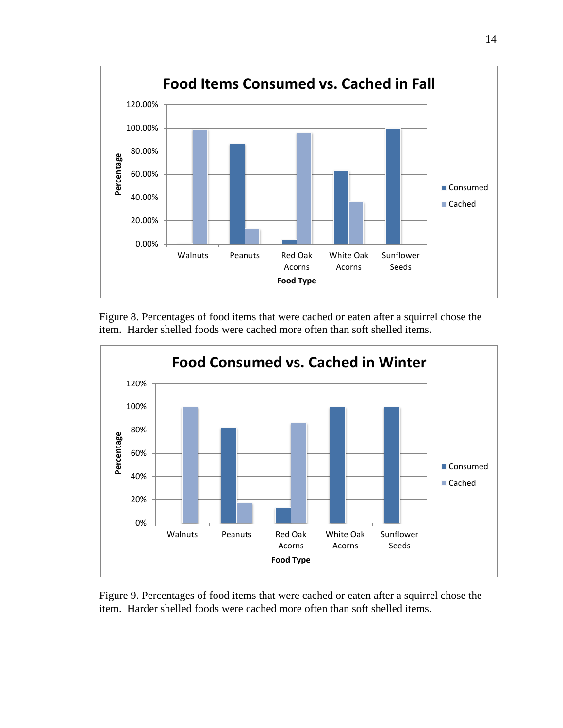

Figure 8. Percentages of food items that were cached or eaten after a squirrel chose the item. Harder shelled foods were cached more often than soft shelled items.



Figure 9. Percentages of food items that were cached or eaten after a squirrel chose the item. Harder shelled foods were cached more often than soft shelled items.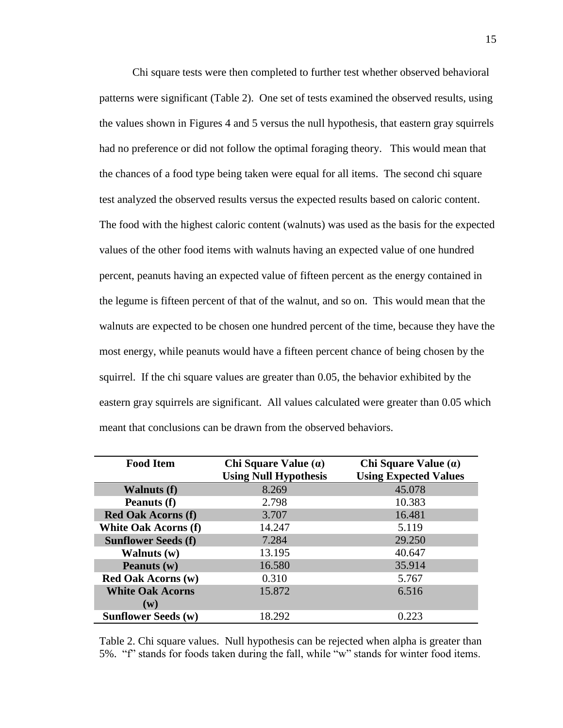Chi square tests were then completed to further test whether observed behavioral patterns were significant (Table 2). One set of tests examined the observed results, using the values shown in Figures 4 and 5 versus the null hypothesis, that eastern gray squirrels had no preference or did not follow the optimal foraging theory. This would mean that the chances of a food type being taken were equal for all items. The second chi square test analyzed the observed results versus the expected results based on caloric content. The food with the highest caloric content (walnuts) was used as the basis for the expected values of the other food items with walnuts having an expected value of one hundred percent, peanuts having an expected value of fifteen percent as the energy contained in the legume is fifteen percent of that of the walnut, and so on. This would mean that the walnuts are expected to be chosen one hundred percent of the time, because they have the most energy, while peanuts would have a fifteen percent chance of being chosen by the squirrel. If the chi square values are greater than 0.05, the behavior exhibited by the eastern gray squirrels are significant. All values calculated were greater than 0.05 which meant that conclusions can be drawn from the observed behaviors.

| <b>Food Item</b>            | Chi Square Value $(\alpha)$  | Chi Square Value $(\alpha)$  |
|-----------------------------|------------------------------|------------------------------|
|                             | <b>Using Null Hypothesis</b> | <b>Using Expected Values</b> |
| <b>Walnuts (f)</b>          | 8.269                        | 45.078                       |
| Peanuts (f)                 | 2.798                        | 10.383                       |
| <b>Red Oak Acorns (f)</b>   | 3.707                        | 16.481                       |
| <b>White Oak Acorns (f)</b> | 14.247                       | 5.119                        |
| <b>Sunflower Seeds (f)</b>  | 7.284                        | 29.250                       |
| Walnuts $(w)$               | 13.195                       | 40.647                       |
| Peanuts (w)                 | 16.580                       | 35.914                       |
| <b>Red Oak Acorns (w)</b>   | 0.310                        | 5.767                        |
| <b>White Oak Acorns</b>     | 15.872                       | 6.516                        |
| $(\mathbf{w})$              |                              |                              |
| <b>Sunflower Seeds (w)</b>  | 18.292                       | 0.223                        |

Table 2. Chi square values. Null hypothesis can be rejected when alpha is greater than 5%. "f" stands for foods taken during the fall, while "w" stands for winter food items.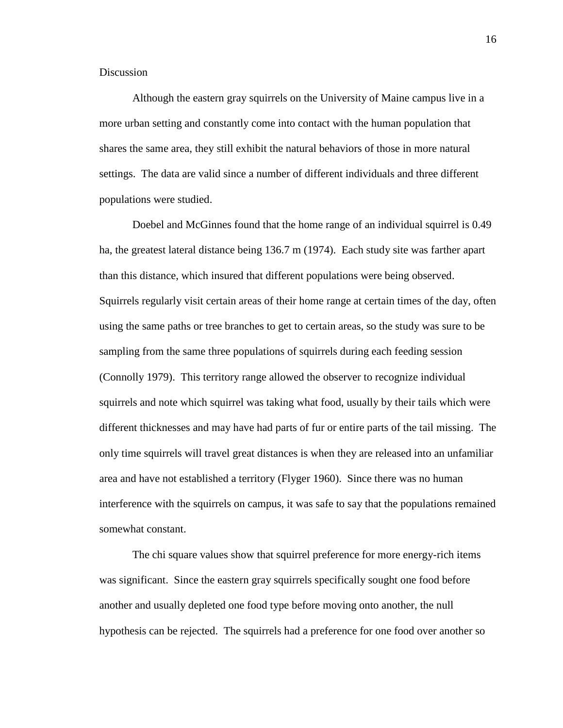## **Discussion**

Although the eastern gray squirrels on the University of Maine campus live in a more urban setting and constantly come into contact with the human population that shares the same area, they still exhibit the natural behaviors of those in more natural settings. The data are valid since a number of different individuals and three different populations were studied.

Doebel and McGinnes found that the home range of an individual squirrel is 0.49 ha, the greatest lateral distance being 136.7 m (1974). Each study site was farther apart than this distance, which insured that different populations were being observed. Squirrels regularly visit certain areas of their home range at certain times of the day, often using the same paths or tree branches to get to certain areas, so the study was sure to be sampling from the same three populations of squirrels during each feeding session (Connolly 1979). This territory range allowed the observer to recognize individual squirrels and note which squirrel was taking what food, usually by their tails which were different thicknesses and may have had parts of fur or entire parts of the tail missing. The only time squirrels will travel great distances is when they are released into an unfamiliar area and have not established a territory (Flyger 1960). Since there was no human interference with the squirrels on campus, it was safe to say that the populations remained somewhat constant.

The chi square values show that squirrel preference for more energy-rich items was significant. Since the eastern gray squirrels specifically sought one food before another and usually depleted one food type before moving onto another, the null hypothesis can be rejected. The squirrels had a preference for one food over another so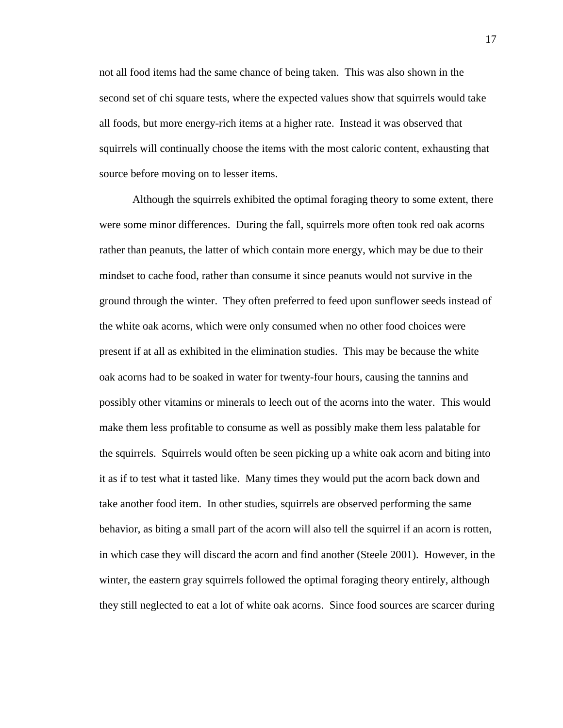not all food items had the same chance of being taken. This was also shown in the second set of chi square tests, where the expected values show that squirrels would take all foods, but more energy-rich items at a higher rate. Instead it was observed that squirrels will continually choose the items with the most caloric content, exhausting that source before moving on to lesser items.

Although the squirrels exhibited the optimal foraging theory to some extent, there were some minor differences. During the fall, squirrels more often took red oak acorns rather than peanuts, the latter of which contain more energy, which may be due to their mindset to cache food, rather than consume it since peanuts would not survive in the ground through the winter. They often preferred to feed upon sunflower seeds instead of the white oak acorns, which were only consumed when no other food choices were present if at all as exhibited in the elimination studies. This may be because the white oak acorns had to be soaked in water for twenty-four hours, causing the tannins and possibly other vitamins or minerals to leech out of the acorns into the water. This would make them less profitable to consume as well as possibly make them less palatable for the squirrels. Squirrels would often be seen picking up a white oak acorn and biting into it as if to test what it tasted like. Many times they would put the acorn back down and take another food item. In other studies, squirrels are observed performing the same behavior, as biting a small part of the acorn will also tell the squirrel if an acorn is rotten, in which case they will discard the acorn and find another (Steele 2001). However, in the winter, the eastern gray squirrels followed the optimal foraging theory entirely, although they still neglected to eat a lot of white oak acorns. Since food sources are scarcer during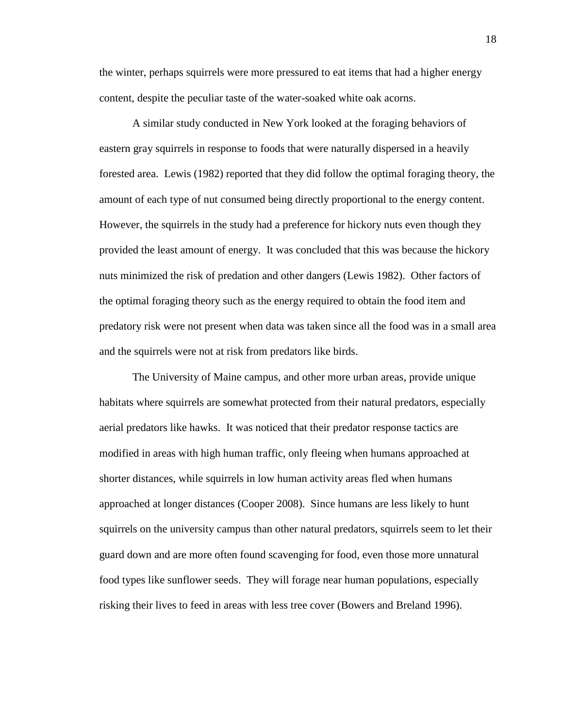the winter, perhaps squirrels were more pressured to eat items that had a higher energy content, despite the peculiar taste of the water-soaked white oak acorns.

A similar study conducted in New York looked at the foraging behaviors of eastern gray squirrels in response to foods that were naturally dispersed in a heavily forested area. Lewis (1982) reported that they did follow the optimal foraging theory, the amount of each type of nut consumed being directly proportional to the energy content. However, the squirrels in the study had a preference for hickory nuts even though they provided the least amount of energy. It was concluded that this was because the hickory nuts minimized the risk of predation and other dangers (Lewis 1982). Other factors of the optimal foraging theory such as the energy required to obtain the food item and predatory risk were not present when data was taken since all the food was in a small area and the squirrels were not at risk from predators like birds.

The University of Maine campus, and other more urban areas, provide unique habitats where squirrels are somewhat protected from their natural predators, especially aerial predators like hawks. It was noticed that their predator response tactics are modified in areas with high human traffic, only fleeing when humans approached at shorter distances, while squirrels in low human activity areas fled when humans approached at longer distances (Cooper 2008). Since humans are less likely to hunt squirrels on the university campus than other natural predators, squirrels seem to let their guard down and are more often found scavenging for food, even those more unnatural food types like sunflower seeds. They will forage near human populations, especially risking their lives to feed in areas with less tree cover (Bowers and Breland 1996).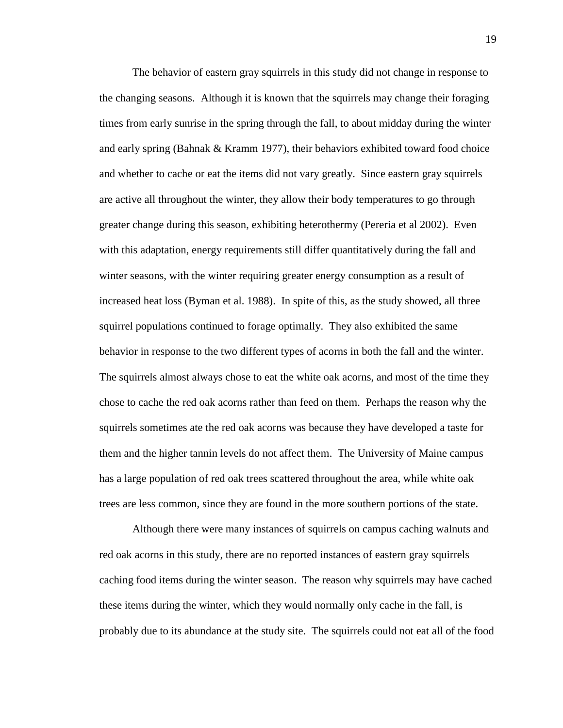The behavior of eastern gray squirrels in this study did not change in response to the changing seasons. Although it is known that the squirrels may change their foraging times from early sunrise in the spring through the fall, to about midday during the winter and early spring (Bahnak & Kramm 1977), their behaviors exhibited toward food choice and whether to cache or eat the items did not vary greatly. Since eastern gray squirrels are active all throughout the winter, they allow their body temperatures to go through greater change during this season, exhibiting heterothermy (Pereria et al 2002). Even with this adaptation, energy requirements still differ quantitatively during the fall and winter seasons, with the winter requiring greater energy consumption as a result of increased heat loss (Byman et al. 1988). In spite of this, as the study showed, all three squirrel populations continued to forage optimally. They also exhibited the same behavior in response to the two different types of acorns in both the fall and the winter. The squirrels almost always chose to eat the white oak acorns, and most of the time they chose to cache the red oak acorns rather than feed on them. Perhaps the reason why the squirrels sometimes ate the red oak acorns was because they have developed a taste for them and the higher tannin levels do not affect them. The University of Maine campus has a large population of red oak trees scattered throughout the area, while white oak trees are less common, since they are found in the more southern portions of the state.

Although there were many instances of squirrels on campus caching walnuts and red oak acorns in this study, there are no reported instances of eastern gray squirrels caching food items during the winter season. The reason why squirrels may have cached these items during the winter, which they would normally only cache in the fall, is probably due to its abundance at the study site. The squirrels could not eat all of the food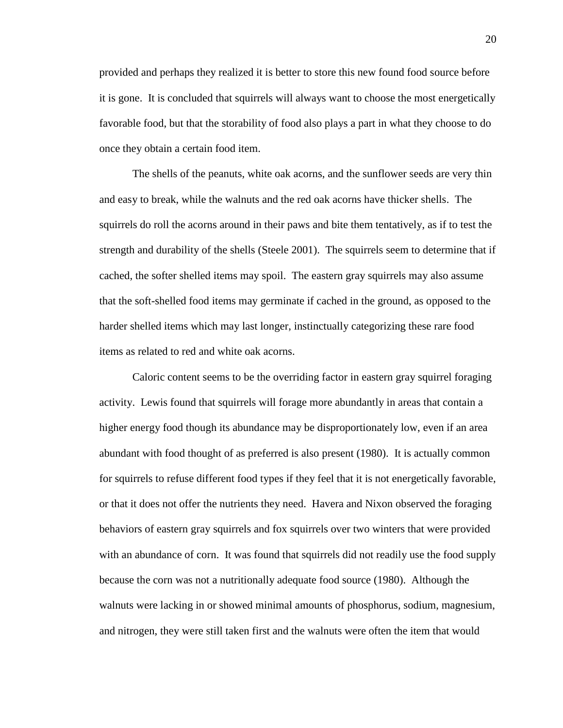provided and perhaps they realized it is better to store this new found food source before it is gone. It is concluded that squirrels will always want to choose the most energetically favorable food, but that the storability of food also plays a part in what they choose to do once they obtain a certain food item.

The shells of the peanuts, white oak acorns, and the sunflower seeds are very thin and easy to break, while the walnuts and the red oak acorns have thicker shells. The squirrels do roll the acorns around in their paws and bite them tentatively, as if to test the strength and durability of the shells (Steele 2001). The squirrels seem to determine that if cached, the softer shelled items may spoil. The eastern gray squirrels may also assume that the soft-shelled food items may germinate if cached in the ground, as opposed to the harder shelled items which may last longer, instinctually categorizing these rare food items as related to red and white oak acorns.

Caloric content seems to be the overriding factor in eastern gray squirrel foraging activity. Lewis found that squirrels will forage more abundantly in areas that contain a higher energy food though its abundance may be disproportionately low, even if an area abundant with food thought of as preferred is also present (1980). It is actually common for squirrels to refuse different food types if they feel that it is not energetically favorable, or that it does not offer the nutrients they need. Havera and Nixon observed the foraging behaviors of eastern gray squirrels and fox squirrels over two winters that were provided with an abundance of corn. It was found that squirrels did not readily use the food supply because the corn was not a nutritionally adequate food source (1980). Although the walnuts were lacking in or showed minimal amounts of phosphorus, sodium, magnesium, and nitrogen, they were still taken first and the walnuts were often the item that would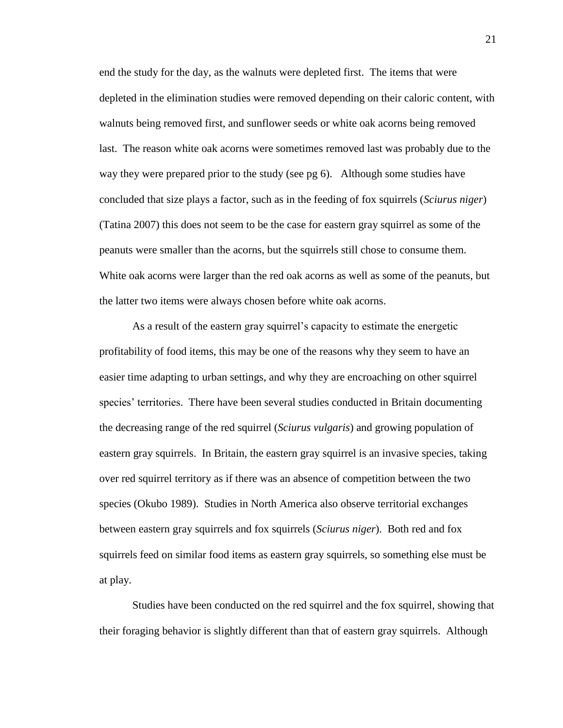end the study for the day, as the walnuts were depleted first. The items that were depleted in the elimination studies were removed depending on their caloric content, with walnuts being removed first, and sunflower seeds or white oak acorns being removed last. The reason white oak acorns were sometimes removed last was probably due to the way they were prepared prior to the study (see pg 6). Although some studies have concluded that size plays a factor, such as in the feeding of fox squirrels (*Sciurus niger*) (Tatina 2007) this does not seem to be the case for eastern gray squirrel as some of the peanuts were smaller than the acorns, but the squirrels still chose to consume them. White oak acorns were larger than the red oak acorns as well as some of the peanuts, but the latter two items were always chosen before white oak acorns.

As a result of the eastern gray squirrel's capacity to estimate the energetic profitability of food items, this may be one of the reasons why they seem to have an easier time adapting to urban settings, and why they are encroaching on other squirrel species' territories. There have been several studies conducted in Britain documenting the decreasing range of the red squirrel (*Sciurus vulgaris*) and growing population of eastern gray squirrels. In Britain, the eastern gray squirrel is an invasive species, taking over red squirrel territory as if there was an absence of competition between the two species (Okubo 1989). Studies in North America also observe territorial exchanges between eastern gray squirrels and fox squirrels (*Sciurus niger*). Both red and fox squirrels feed on similar food items as eastern gray squirrels, so something else must be at play.

Studies have been conducted on the red squirrel and the fox squirrel, showing that their foraging behavior is slightly different than that of eastern gray squirrels. Although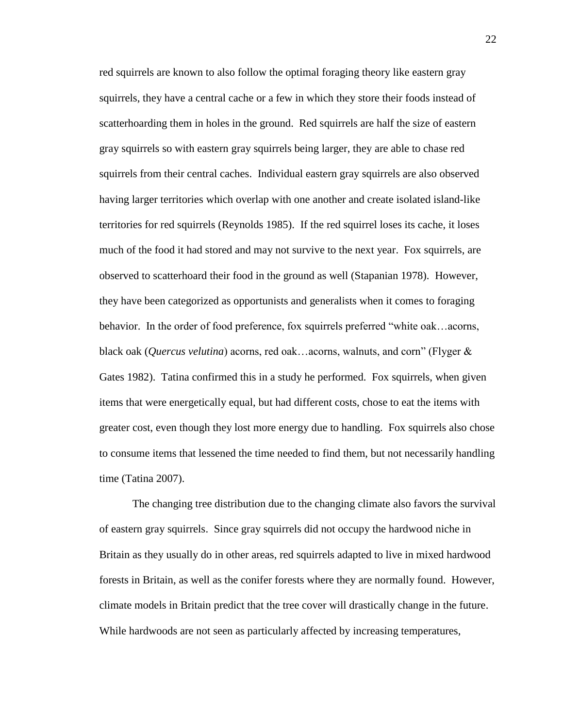red squirrels are known to also follow the optimal foraging theory like eastern gray squirrels, they have a central cache or a few in which they store their foods instead of scatterhoarding them in holes in the ground. Red squirrels are half the size of eastern gray squirrels so with eastern gray squirrels being larger, they are able to chase red squirrels from their central caches. Individual eastern gray squirrels are also observed having larger territories which overlap with one another and create isolated island-like territories for red squirrels (Reynolds 1985). If the red squirrel loses its cache, it loses much of the food it had stored and may not survive to the next year. Fox squirrels, are observed to scatterhoard their food in the ground as well (Stapanian 1978). However, they have been categorized as opportunists and generalists when it comes to foraging behavior. In the order of food preference, fox squirrels preferred "white oak…acorns, black oak (*Quercus velutina*) acorns, red oak…acorns, walnuts, and corn" (Flyger & Gates 1982). Tatina confirmed this in a study he performed. Fox squirrels, when given items that were energetically equal, but had different costs, chose to eat the items with greater cost, even though they lost more energy due to handling. Fox squirrels also chose to consume items that lessened the time needed to find them, but not necessarily handling time (Tatina 2007).

The changing tree distribution due to the changing climate also favors the survival of eastern gray squirrels. Since gray squirrels did not occupy the hardwood niche in Britain as they usually do in other areas, red squirrels adapted to live in mixed hardwood forests in Britain, as well as the conifer forests where they are normally found. However, climate models in Britain predict that the tree cover will drastically change in the future. While hardwoods are not seen as particularly affected by increasing temperatures,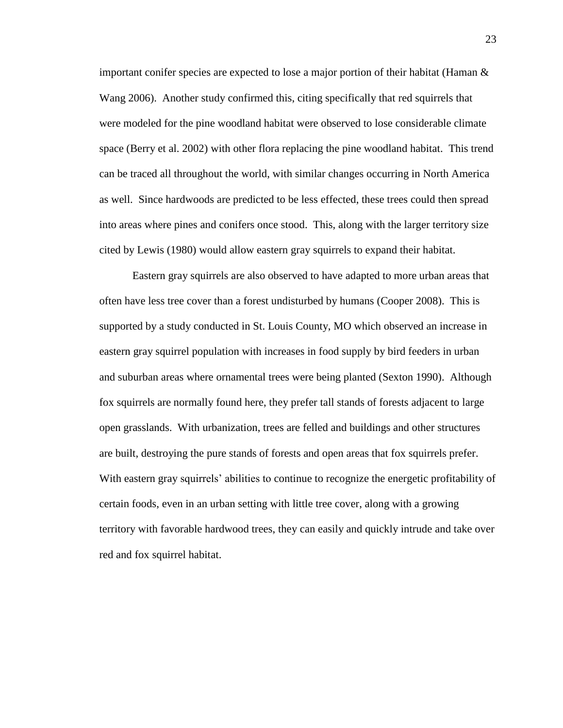important conifer species are expected to lose a major portion of their habitat (Haman  $\&$ Wang 2006). Another study confirmed this, citing specifically that red squirrels that were modeled for the pine woodland habitat were observed to lose considerable climate space (Berry et al. 2002) with other flora replacing the pine woodland habitat. This trend can be traced all throughout the world, with similar changes occurring in North America as well. Since hardwoods are predicted to be less effected, these trees could then spread into areas where pines and conifers once stood. This, along with the larger territory size cited by Lewis (1980) would allow eastern gray squirrels to expand their habitat.

Eastern gray squirrels are also observed to have adapted to more urban areas that often have less tree cover than a forest undisturbed by humans (Cooper 2008). This is supported by a study conducted in St. Louis County, MO which observed an increase in eastern gray squirrel population with increases in food supply by bird feeders in urban and suburban areas where ornamental trees were being planted (Sexton 1990). Although fox squirrels are normally found here, they prefer tall stands of forests adjacent to large open grasslands. With urbanization, trees are felled and buildings and other structures are built, destroying the pure stands of forests and open areas that fox squirrels prefer. With eastern gray squirrels' abilities to continue to recognize the energetic profitability of certain foods, even in an urban setting with little tree cover, along with a growing territory with favorable hardwood trees, they can easily and quickly intrude and take over red and fox squirrel habitat.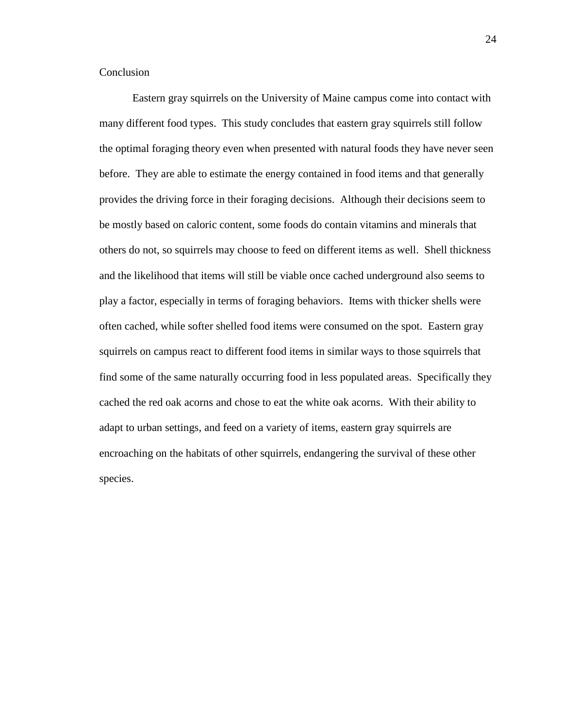## Conclusion

Eastern gray squirrels on the University of Maine campus come into contact with many different food types. This study concludes that eastern gray squirrels still follow the optimal foraging theory even when presented with natural foods they have never seen before. They are able to estimate the energy contained in food items and that generally provides the driving force in their foraging decisions. Although their decisions seem to be mostly based on caloric content, some foods do contain vitamins and minerals that others do not, so squirrels may choose to feed on different items as well. Shell thickness and the likelihood that items will still be viable once cached underground also seems to play a factor, especially in terms of foraging behaviors. Items with thicker shells were often cached, while softer shelled food items were consumed on the spot. Eastern gray squirrels on campus react to different food items in similar ways to those squirrels that find some of the same naturally occurring food in less populated areas. Specifically they cached the red oak acorns and chose to eat the white oak acorns. With their ability to adapt to urban settings, and feed on a variety of items, eastern gray squirrels are encroaching on the habitats of other squirrels, endangering the survival of these other species.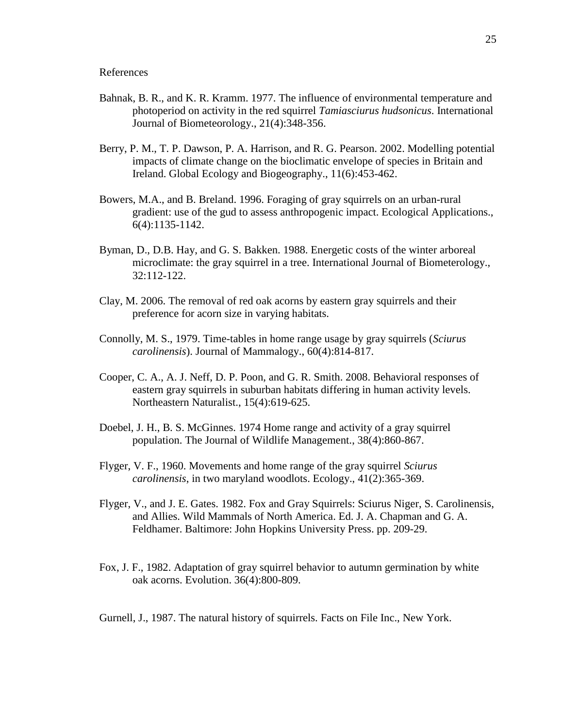References

- Bahnak, B. R., and K. R. Kramm. 1977. The influence of environmental temperature and photoperiod on activity in the red squirrel *Tamiasciurus hudsonicus*. International Journal of Biometeorology., 21(4):348-356.
- Berry, P. M., T. P. Dawson, P. A. Harrison, and R. G. Pearson. 2002. Modelling potential impacts of climate change on the bioclimatic envelope of species in Britain and Ireland. Global Ecology and Biogeography., 11(6):453-462.
- Bowers, M.A., and B. Breland. 1996. Foraging of gray squirrels on an urban-rural gradient: use of the gud to assess anthropogenic impact. Ecological Applications., 6(4):1135-1142.
- Byman, D., D.B. Hay, and G. S. Bakken. 1988. Energetic costs of the winter arboreal microclimate: the gray squirrel in a tree. International Journal of Biometerology., 32:112-122.
- Clay, M. 2006. The removal of red oak acorns by eastern gray squirrels and their preference for acorn size in varying habitats.
- Connolly, M. S., 1979. Time-tables in home range usage by gray squirrels (*Sciurus carolinensis*). Journal of Mammalogy., 60(4):814-817.
- Cooper, C. A., A. J. Neff, D. P. Poon, and G. R. Smith. 2008. Behavioral responses of eastern gray squirrels in suburban habitats differing in human activity levels. Northeastern Naturalist., 15(4):619-625.
- Doebel, J. H., B. S. McGinnes. 1974 Home range and activity of a gray squirrel population. The Journal of Wildlife Management., 38(4):860-867.
- Flyger, V. F., 1960. Movements and home range of the gray squirrel *Sciurus carolinensis*, in two maryland woodlots. Ecology., 41(2):365-369.
- Flyger, V., and J. E. Gates. 1982. Fox and Gray Squirrels: Sciurus Niger, S. Carolinensis, and Allies. Wild Mammals of North America. Ed. J. A. Chapman and G. A. Feldhamer. Baltimore: John Hopkins University Press. pp. 209-29.
- Fox, J. F., 1982. Adaptation of gray squirrel behavior to autumn germination by white oak acorns. Evolution. 36(4):800-809.
- Gurnell, J., 1987. The natural history of squirrels. Facts on File Inc., New York.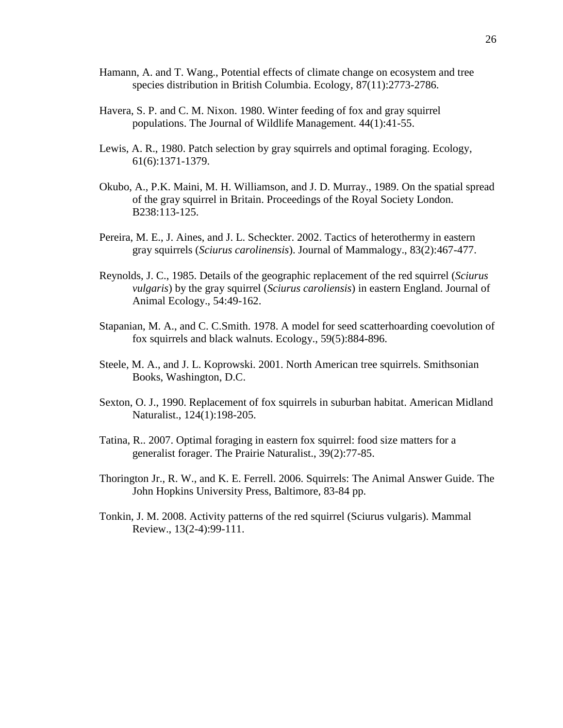- Hamann, A. and T. Wang., Potential effects of climate change on ecosystem and tree species distribution in British Columbia. Ecology, 87(11):2773-2786.
- Havera, S. P. and C. M. Nixon. 1980. Winter feeding of fox and gray squirrel populations. The Journal of Wildlife Management. 44(1):41-55.
- Lewis, A. R., 1980. Patch selection by gray squirrels and optimal foraging. Ecology, 61(6):1371-1379.
- Okubo, A., P.K. Maini, M. H. Williamson, and J. D. Murray., 1989. On the spatial spread of the gray squirrel in Britain. Proceedings of the Royal Society London. B238:113-125.
- Pereira, M. E., J. Aines, and J. L. Scheckter. 2002. Tactics of heterothermy in eastern gray squirrels (*Sciurus carolinensis*). Journal of Mammalogy., 83(2):467-477.
- Reynolds, J. C., 1985. Details of the geographic replacement of the red squirrel (*Sciurus vulgaris*) by the gray squirrel (*Sciurus caroliensis*) in eastern England. Journal of Animal Ecology., 54:49-162.
- Stapanian, M. A., and C. C.Smith. 1978. A model for seed scatterhoarding coevolution of fox squirrels and black walnuts. Ecology., 59(5):884-896.
- Steele, M. A., and J. L. Koprowski. 2001. North American tree squirrels. Smithsonian Books, Washington, D.C.
- Sexton, O. J., 1990. Replacement of fox squirrels in suburban habitat. American Midland Naturalist., 124(1):198-205.
- Tatina, R.. 2007. Optimal foraging in eastern fox squirrel: food size matters for a generalist forager. The Prairie Naturalist., 39(2):77-85.
- Thorington Jr., R. W., and K. E. Ferrell. 2006. Squirrels: The Animal Answer Guide. The John Hopkins University Press, Baltimore, 83-84 pp.
- Tonkin, J. M. 2008. Activity patterns of the red squirrel (Sciurus vulgaris). Mammal Review., 13(2-4):99-111.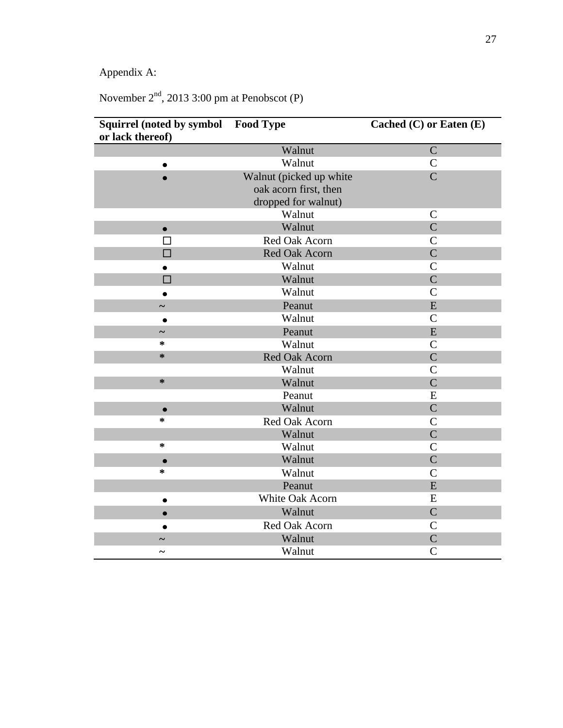Appendix A:

November 2<sup>nd</sup>, 2013 3:00 pm at Penobscot (P)

| <b>Squirrel (noted by symbol</b> | <b>Food Type</b>        | Cached $(C)$ or Eaten $(E)$ |
|----------------------------------|-------------------------|-----------------------------|
| or lack thereof)                 |                         |                             |
|                                  | Walnut                  | $\overline{C}$              |
|                                  | Walnut                  | $\mathcal{C}$               |
|                                  | Walnut (picked up white | $\overline{C}$              |
|                                  | oak acorn first, then   |                             |
|                                  | dropped for walnut)     |                             |
|                                  | Walnut                  | $\mathcal{C}$               |
| $\bullet$                        | Walnut                  | $\overline{C}$              |
| П                                | Red Oak Acorn           | $\mathcal{C}$               |
| $\Box$                           | Red Oak Acorn           | $\overline{C}$              |
|                                  | Walnut                  | $\mathsf{C}$                |
| П                                | Walnut                  | $\overline{C}$              |
|                                  | Walnut                  | $\mathcal{C}$               |
|                                  | Peanut                  | E                           |
| $\bullet$                        | Walnut                  | $\mathbf C$                 |
|                                  | Peanut                  | E                           |
| ∗                                | Walnut                  | $\mathcal{C}$               |
| ∗                                | Red Oak Acorn           | $\overline{C}$              |
|                                  | Walnut                  | $\mathsf{C}$                |
| ∗                                | Walnut                  | $\overline{C}$              |
|                                  | Peanut                  | E                           |
| $\bullet$                        | Walnut                  | $\overline{C}$              |
| ∗                                | Red Oak Acorn           | $\overline{C}$              |
|                                  | Walnut                  | $\overline{C}$              |
| $\ast$                           | Walnut                  | $\mathcal{C}$               |
| $\bullet$                        | Walnut                  | $\mathcal{C}$               |
| $\ast$                           | Walnut                  | $\mathcal{C}$               |
|                                  | Peanut                  | E                           |
|                                  | White Oak Acorn         | E                           |
|                                  | Walnut                  | $\overline{C}$              |
|                                  | Red Oak Acorn           | $\mathsf{C}$                |
|                                  | Walnut                  | $\mathbf C$                 |
|                                  | Walnut                  | $\mathcal{C}$               |